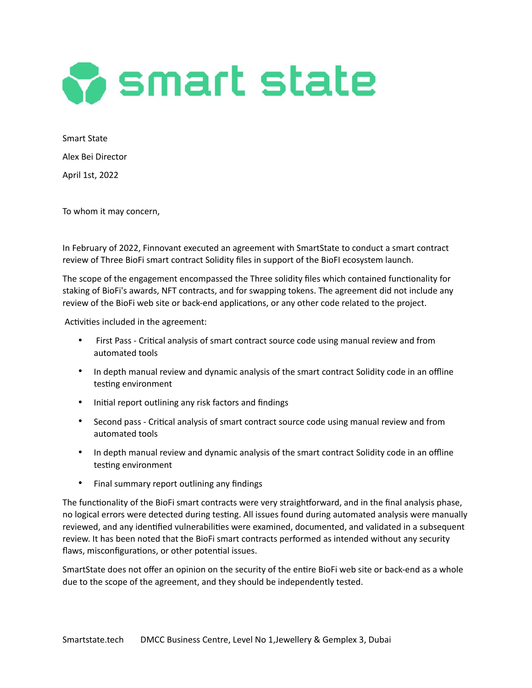

Smart State Alex Bei Director April 1st, 2022

To whom it may concern,

In February of 2022, Finnovant executed an agreement with SmartState to conduct a smart contract review of Three BioFi smart contract Solidity files in support of the BioFI ecosystem launch.

The scope of the engagement encompassed the Three solidity files which contained functionality for staking of BioFi's awards, NFT contracts, and for swapping tokens. The agreement did not include any review of the BioFi web site or back-end applications, or any other code related to the project.

Activities included in the agreement:

- First Pass Critical analysis of smart contract source code using manual review and from automated tools
- In depth manual review and dynamic analysis of the smart contract Solidity code in an offline testing environment
- Initial report outlining any risk factors and findings
- Second pass Critical analysis of smart contract source code using manual review and from automated tools
- In depth manual review and dynamic analysis of the smart contract Solidity code in an offline testing environment
- Final summary report outlining any findings

The functionality of the BioFi smart contracts were very straightforward, and in the final analysis phase, no logical errors were detected during testing. All issues found during automated analysis were manually reviewed, and any identified vulnerabilities were examined, documented, and validated in a subsequent review. It has been noted that the BioFi smart contracts performed as intended without any security flaws, misconfigurations, or other potential issues.

SmartState does not offer an opinion on the security of the entire BioFi web site or back-end as a whole due to the scope of the agreement, and they should be independently tested.